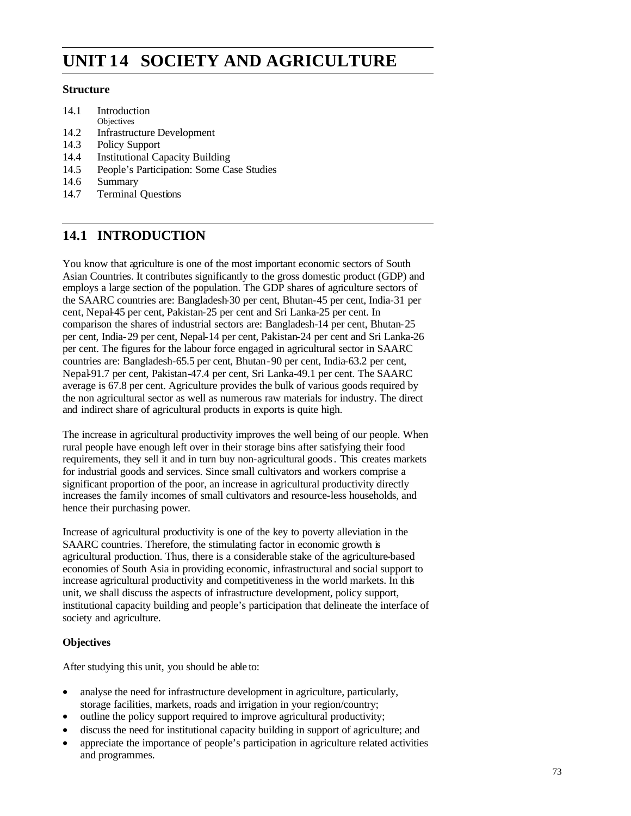# **Society and Agriculture UNIT 14 SOCIETY AND AGRICULTURE**

### **Structure**

- 14.1 Introduction
- **Objectives**
- 14.2 Infrastructure Development
- 14.3 Policy Support
- 14.4 Institutional Capacity Building
- 14.5 People's Participation: Some Case Studies
- 14.6 Summary
- 14.7 Terminal Questions

## **14.1 INTRODUCTION**

You know that agriculture is one of the most important economic sectors of South Asian Countries. It contributes significantly to the gross domestic product (GDP) and employs a large section of the population. The GDP shares of agriculture sectors of the SAARC countries are: Bangladesh-30 per cent, Bhutan-45 per cent, India-31 per cent, Nepal-45 per cent, Pakistan-25 per cent and Sri Lanka-25 per cent. In comparison the shares of industrial sectors are: Bangladesh-14 per cent, Bhutan-25 per cent, India-29 per cent, Nepal-14 per cent, Pakistan-24 per cent and Sri Lanka-26 per cent. The figures for the labour force engaged in agricultural sector in SAARC countries are: Bangladesh-65.5 per cent, Bhutan-90 per cent, India-63.2 per cent, Nepal-91.7 per cent, Pakistan-47.4 per cent, Sri Lanka-49.1 per cent. The SAARC average is 67.8 per cent. Agriculture provides the bulk of various goods required by the non agricultural sector as well as numerous raw materials for industry. The direct and indirect share of agricultural products in exports is quite high.

The increase in agricultural productivity improves the well being of our people. When rural people have enough left over in their storage bins after satisfying their food requirements, they sell it and in turn buy non-agricultural goods. This creates markets for industrial goods and services. Since small cultivators and workers comprise a significant proportion of the poor, an increase in agricultural productivity directly increases the family incomes of small cultivators and resource-less households, and hence their purchasing power.

Increase of agricultural productivity is one of the key to poverty alleviation in the SAARC countries. Therefore, the stimulating factor in economic growth is agricultural production. Thus, there is a considerable stake of the agriculture-based economies of South Asia in providing economic, infrastructural and social support to increase agricultural productivity and competitiveness in the world markets. In this unit, we shall discuss the aspects of infrastructure development, policy support, institutional capacity building and people's participation that delineate the interface of society and agriculture.

## **Objectives**

After studying this unit, you should be able to:

- analyse the need for infrastructure development in agriculture, particularly, storage facilities, markets, roads and irrigation in your region/country;
- outline the policy support required to improve agricultural productivity;
- discuss the need for institutional capacity building in support of agriculture; and
- appreciate the importance of people's participation in agriculture related activities and programmes.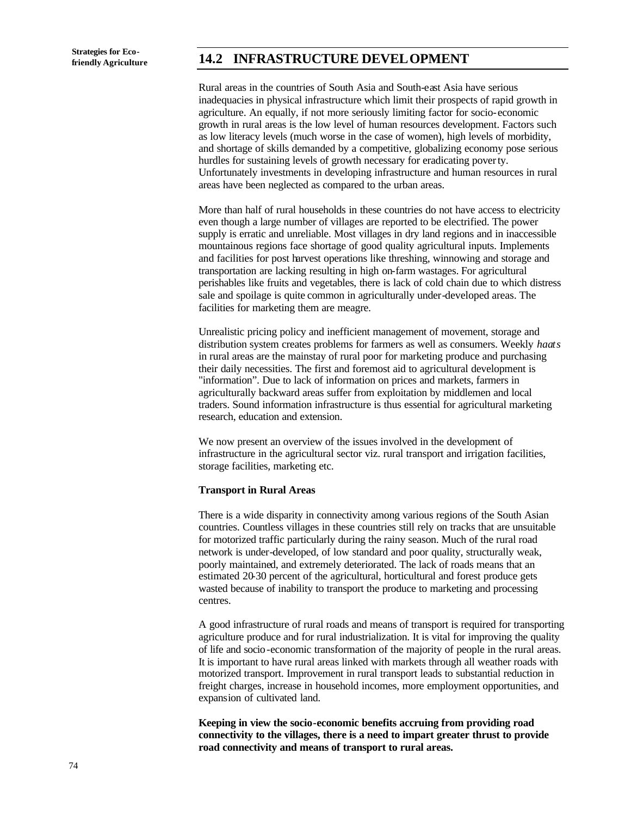## **friendly Agriculture 14.2 INFRASTRUCTURE DEVELOPMENT**

Rural areas in the countries of South Asia and South-east Asia have serious inadequacies in physical infrastructure which limit their prospects of rapid growth in agriculture. An equally, if not more seriously limiting factor for socio-economic growth in rural areas is the low level of human resources development. Factors such as low literacy levels (much worse in the case of women), high levels of morbidity, and shortage of skills demanded by a competitive, globalizing economy pose serious hurdles for sustaining levels of growth necessary for eradicating poverty. Unfortunately investments in developing infrastructure and human resources in rural areas have been neglected as compared to the urban areas.

More than half of rural households in these countries do not have access to electricity even though a large number of villages are reported to be electrified. The power supply is erratic and unreliable. Most villages in dry land regions and in inaccessible mountainous regions face shortage of good quality agricultural inputs. Implements and facilities for post harvest operations like threshing, winnowing and storage and transportation are lacking resulting in high on-farm wastages. For agricultural perishables like fruits and vegetables, there is lack of cold chain due to which distress sale and spoilage is quite common in agriculturally under-developed areas. The facilities for marketing them are meagre.

Unrealistic pricing policy and inefficient management of movement, storage and distribution system creates problems for farmers as well as consumers. Weekly *haats* in rural areas are the mainstay of rural poor for marketing produce and purchasing their daily necessities. The first and foremost aid to agricultural development is "information". Due to lack of information on prices and markets, farmers in agriculturally backward areas suffer from exploitation by middlemen and local traders. Sound information infrastructure is thus essential for agricultural marketing research, education and extension.

We now present an overview of the issues involved in the development of infrastructure in the agricultural sector viz. rural transport and irrigation facilities, storage facilities, marketing etc.

### **Transport in Rural Areas**

There is a wide disparity in connectivity among various regions of the South Asian countries. Countless villages in these countries still rely on tracks that are unsuitable for motorized traffic particularly during the rainy season. Much of the rural road network is under-developed, of low standard and poor quality, structurally weak, poorly maintained, and extremely deteriorated. The lack of roads means that an estimated 20-30 percent of the agricultural, horticultural and forest produce gets wasted because of inability to transport the produce to marketing and processing centres.

A good infrastructure of rural roads and means of transport is required for transporting agriculture produce and for rural industrialization. It is vital for improving the quality of life and socio-economic transformation of the majority of people in the rural areas. It is important to have rural areas linked with markets through all weather roads with motorized transport. Improvement in rural transport leads to substantial reduction in freight charges, increase in household incomes, more employment opportunities, and expansion of cultivated land.

**Keeping in view the socio-economic benefits accruing from providing road connectivity to the villages, there is a need to impart greater thrust to provide road connectivity and means of transport to rural areas.**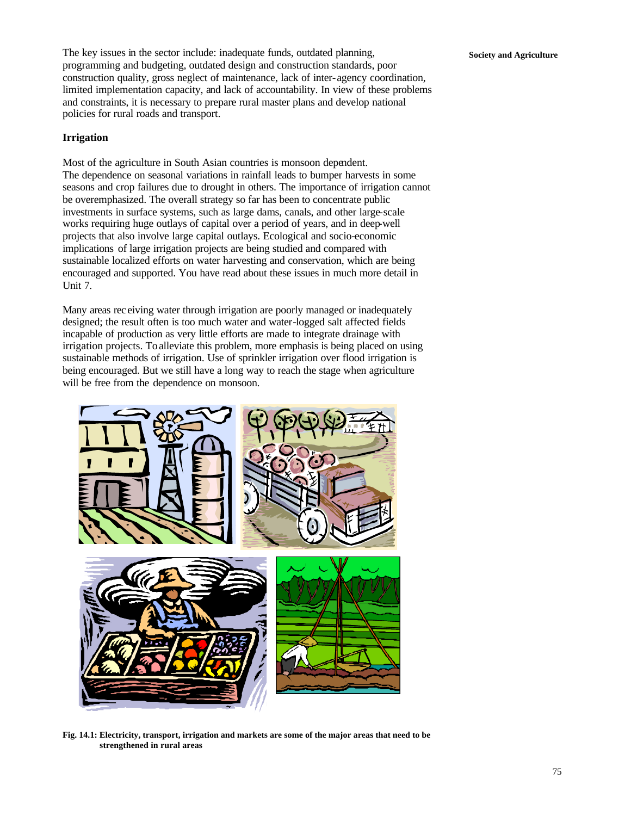The key issues in the sector include: inadequate funds, outdated planning, **Society and Agriculture** programming and budgeting, outdated design and construction standards, poor construction quality, gross neglect of maintenance, lack of inter-agency coordination, limited implementation capacity, and lack of accountability. In view of these problems and constraints, it is necessary to prepare rural master plans and develop national policies for rural roads and transport.

### **Irrigation**

Most of the agriculture in South Asian countries is monsoon dependent. The dependence on seasonal variations in rainfall leads to bumper harvests in some seasons and crop failures due to drought in others. The importance of irrigation cannot be overemphasized. The overall strategy so far has been to concentrate public investments in surface systems, such as large dams, canals, and other large-scale works requiring huge outlays of capital over a period of years, and in deep-well projects that also involve large capital outlays. Ecological and socio-economic implications of large irrigation projects are being studied and compared with sustainable localized efforts on water harvesting and conservation, which are being encouraged and supported. You have read about these issues in much more detail in Unit 7.

Many areas rec eiving water through irrigation are poorly managed or inadequately designed; the result often is too much water and water-logged salt affected fields incapable of production as very little efforts are made to integrate drainage with irrigation projects. To alleviate this problem, more emphasis is being placed on using sustainable methods of irrigation. Use of sprinkler irrigation over flood irrigation is being encouraged. But we still have a long way to reach the stage when agriculture will be free from the dependence on monsoon.



**Fig. 14.1: Electricity, transport, irrigation and markets are some of the major areas that need to be strengthened in rural areas**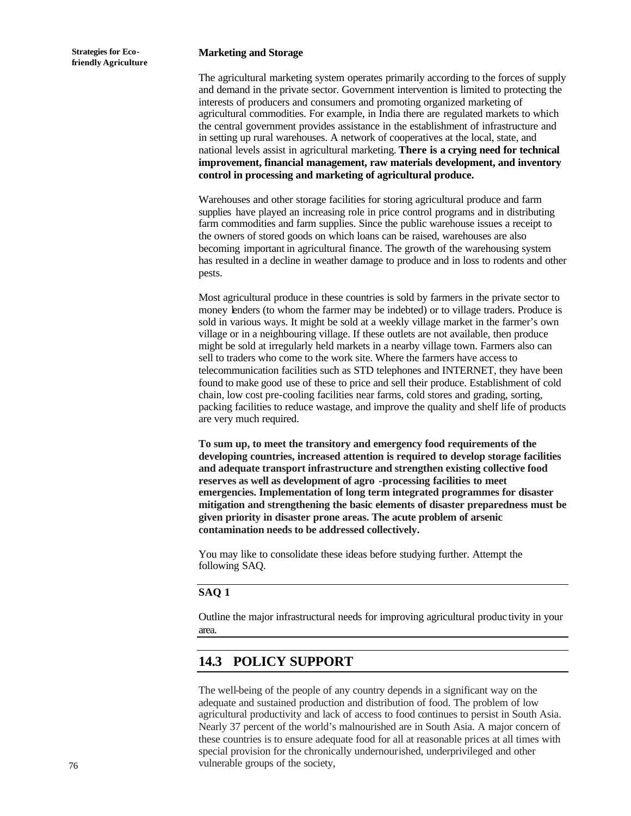#### **Marketing and Storage**

The agricultural marketing system operates primarily according to the forces of supply and demand in the private sector. Government intervention is limited to protecting the interests of producers and consumers and promoting organized marketing of agricultural commodities. For example, in India there are regulated markets to which the central government provides assistance in the establishment of infrastructure and in setting up rural warehouses. A network of cooperatives at the local, state, and national levels assist in agricultural marketing. **There is a crying need for technical improvement, financial management, raw materials development, and inventory control in processing and marketing of agricultural produce.** 

Warehouses and other storage facilities for storing agricultural produce and farm supplies have played an increasing role in price control programs and in distributing farm commodities and farm supplies. Since the public warehouse issues a receipt to the owners of stored goods on which loans can be raised, warehouses are also becoming important in agricultural finance. The growth of the warehousing system has resulted in a decline in weather damage to produce and in loss to rodents and other pests.

Most agricultural produce in these countries is sold by farmers in the private sector to money lenders (to whom the farmer may be indebted) or to village traders. Produce is sold in various ways. It might be sold at a weekly village market in the farmer's own village or in a neighbouring village. If these outlets are not available, then produce might be sold at irregularly held markets in a nearby village town. Farmers also can sell to traders who come to the work site. Where the farmers have access to telecommunication facilities such as STD telephones and INTERNET, they have been found to make good use of these to price and sell their produce. Establishment of cold chain, low cost pre-cooling facilities near farms, cold stores and grading, sorting, packing facilities to reduce wastage, and improve the quality and shelf life of products are very much required.

**To sum up, to meet the transitory and emergency food requirements of the developing countries, increased attention is required to develop storage facilities and adequate transport infrastructure and strengthen existing collective food reserves as well as development of agro -processing facilities to meet emergencies. Implementation of long term integrated programmes for disaster mitigation and strengthening the basic elements of disaster preparedness must be given priority in disaster prone areas. The acute problem of arsenic contamination needs to be addressed collectively.**

You may like to consolidate these ideas before studying further. Attempt the following SAQ.

### **SAQ 1**

Outline the major infrastructural needs for improving agricultural produc tivity in your area.

## **14.3 POLICY SUPPORT**

The well-being of the people of any country depends in a significant way on the adequate and sustained production and distribution of food. The problem of low agricultural productivity and lack of access to food continues to persist in South Asia. Nearly 37 percent of the world's malnourished are in South Asia. A major concern of these countries is to ensure adequate food for all at reasonable prices at all times with special provision for the chronically undernourished, underprivileged and other vulnerable groups of the society,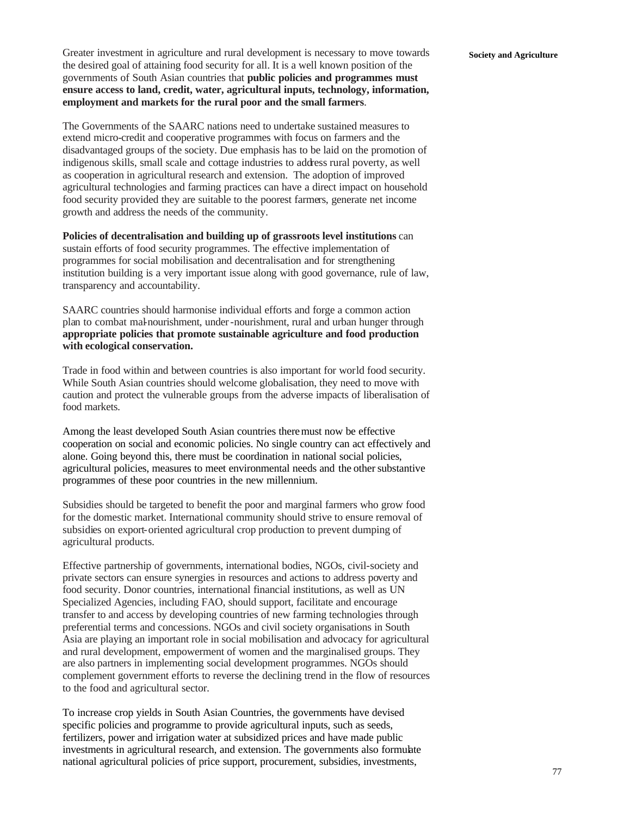Greater investment in agriculture and rural development is necessary to move towards **Society and Agriculture** the desired goal of attaining food security for all. It is a well known position of the governments of South Asian countries that **public policies and programmes must ensure access to land, credit, water, agricultural inputs, technology, information, employment and markets for the rural poor and the small farmers**.

The Governments of the SAARC nations need to undertake sustained measures to extend micro-credit and cooperative programmes with focus on farmers and the disadvantaged groups of the society. Due emphasis has to be laid on the promotion of indigenous skills, small scale and cottage industries to address rural poverty, as well as cooperation in agricultural research and extension. The adoption of improved agricultural technologies and farming practices can have a direct impact on household food security provided they are suitable to the poorest farmers, generate net income growth and address the needs of the community.

**Policies of decentralisation and building up of grassroots level institutions** can sustain efforts of food security programmes. The effective implementation of programmes for social mobilisation and decentralisation and for strengthening institution building is a very important issue along with good governance, rule of law, transparency and accountability.

SAARC countries should harmonise individual efforts and forge a common action plan to combat mal-nourishment, under-nourishment, rural and urban hunger through **appropriate policies that promote sustainable agriculture and food production with ecological conservation.**

Trade in food within and between countries is also important for world food security. While South Asian countries should welcome globalisation, they need to move with caution and protect the vulnerable groups from the adverse impacts of liberalisation of food markets.

Among the least developed South Asian countries there must now be effective cooperation on social and economic policies. No single country can act effectively and alone. Going beyond this, there must be coordination in national social policies, agricultural policies, measures to meet environmental needs and the other substantive programmes of these poor countries in the new millennium.

Subsidies should be targeted to benefit the poor and marginal farmers who grow food for the domestic market. International community should strive to ensure removal of subsidies on export-oriented agricultural crop production to prevent dumping of agricultural products.

Effective partnership of governments, international bodies, NGOs, civil-society and private sectors can ensure synergies in resources and actions to address poverty and food security. Donor countries, international financial institutions, as well as UN Specialized Agencies, including FAO, should support, facilitate and encourage transfer to and access by developing countries of new farming technologies through preferential terms and concessions. NGOs and civil society organisations in South Asia are playing an important role in social mobilisation and advocacy for agricultural and rural development, empowerment of women and the marginalised groups. They are also partners in implementing social development programmes. NGOs should complement government efforts to reverse the declining trend in the flow of resources to the food and agricultural sector.

To increase crop yields in South Asian Countries, the governments have devised specific policies and programme to provide agricultural inputs, such as seeds, fertilizers, power and irrigation water at subsidized prices and have made public investments in agricultural research, and extension. The governments also formulate national agricultural policies of price support, procurement, subsidies, investments,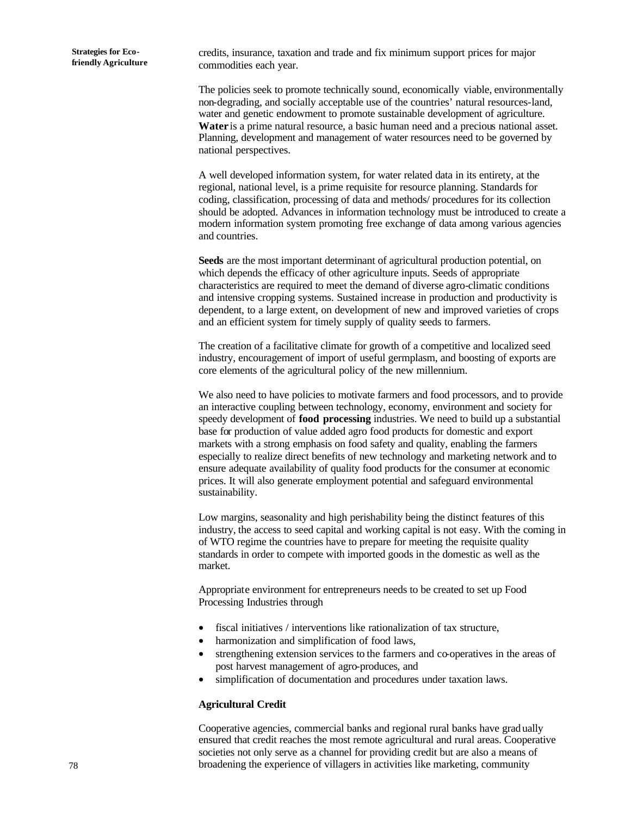**Strategies for Ecofriendly Agriculture** credits, insurance, taxation and trade and fix minimum support prices for major commodities each year.

The policies seek to promote technically sound, economically viable, environmentally non-degrading, and socially acceptable use of the countries' natural resources-land, water and genetic endowment to promote sustainable development of agriculture. **Water** is a prime natural resource, a basic human need and a precious national asset. Planning, development and management of water resources need to be governed by national perspectives.

A well developed information system, for water related data in its entirety, at the regional, national level, is a prime requisite for resource planning. Standards for coding, classification, processing of data and methods/ procedures for its collection should be adopted. Advances in information technology must be introduced to create a modern information system promoting free exchange of data among various agencies and countries.

**Seeds** are the most important determinant of agricultural production potential, on which depends the efficacy of other agriculture inputs. Seeds of appropriate characteristics are required to meet the demand of diverse agro-climatic conditions and intensive cropping systems. Sustained increase in production and productivity is dependent, to a large extent, on development of new and improved varieties of crops and an efficient system for timely supply of quality seeds to farmers.

The creation of a facilitative climate for growth of a competitive and localized seed industry, encouragement of import of useful germplasm, and boosting of exports are core elements of the agricultural policy of the new millennium.

We also need to have policies to motivate farmers and food processors, and to provide an interactive coupling between technology, economy, environment and society for speedy development of **food processing** industries. We need to build up a substantial base for production of value added agro food products for domestic and export markets with a strong emphasis on food safety and quality, enabling the farmers especially to realize direct benefits of new technology and marketing network and to ensure adequate availability of quality food products for the consumer at economic prices. It will also generate employment potential and safeguard environmental sustainability.

Low margins, seasonality and high perishability being the distinct features of this industry, the access to seed capital and working capital is not easy. With the coming in of WTO regime the countries have to prepare for meeting the requisite quality standards in order to compete with imported goods in the domestic as well as the market.

Appropriate environment for entrepreneurs needs to be created to set up Food Processing Industries through

- fiscal initiatives / interventions like rationalization of tax structure,
- harmonization and simplification of food laws,
- strengthening extension services to the farmers and co-operatives in the areas of post harvest management of agro-produces, and
- simplification of documentation and procedures under taxation laws.

#### **Agricultural Credit**

Cooperative agencies, commercial banks and regional rural banks have grad ually ensured that credit reaches the most remote agricultural and rural areas. Cooperative societies not only serve as a channel for providing credit but are also a means of broadening the experience of villagers in activities like marketing, community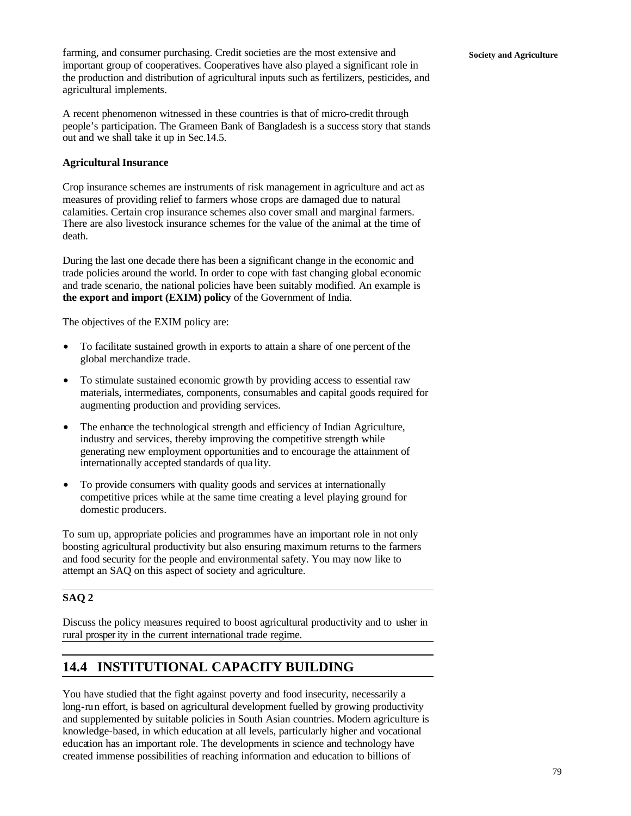farming, and consumer purchasing. Credit societies are the most extensive and **Society and Agriculture** important group of cooperatives. Cooperatives have also played a significant role in the production and distribution of agricultural inputs such as fertilizers, pesticides, and agricultural implements.

A recent phenomenon witnessed in these countries is that of micro-credit through people's participation. The Grameen Bank of Bangladesh is a success story that stands out and we shall take it up in Sec.14.5.

### **Agricultural Insurance**

Crop insurance schemes are instruments of risk management in agriculture and act as measures of providing relief to farmers whose crops are damaged due to natural calamities. Certain crop insurance schemes also cover small and marginal farmers. There are also livestock insurance schemes for the value of the animal at the time of death.

During the last one decade there has been a significant change in the economic and trade policies around the world. In order to cope with fast changing global economic and trade scenario, the national policies have been suitably modified. An example is **the export and import (EXIM) policy** of the Government of India.

The objectives of the EXIM policy are:

- To facilitate sustained growth in exports to attain a share of one percent of the global merchandize trade.
- To stimulate sustained economic growth by providing access to essential raw materials, intermediates, components, consumables and capital goods required for augmenting production and providing services.
- The enhance the technological strength and efficiency of Indian Agriculture, industry and services, thereby improving the competitive strength while generating new employment opportunities and to encourage the attainment of internationally accepted standards of qua lity.
- To provide consumers with quality goods and services at internationally competitive prices while at the same time creating a level playing ground for domestic producers.

To sum up, appropriate policies and programmes have an important role in not only boosting agricultural productivity but also ensuring maximum returns to the farmers and food security for the people and environmental safety. You may now like to attempt an SAQ on this aspect of society and agriculture.

### **SAQ 2**

Discuss the policy measures required to boost agricultural productivity and to usher in rural prosper ity in the current international trade regime.

## **14.4 INSTITUTIONAL CAPACITY BUILDING**

You have studied that the fight against poverty and food insecurity, necessarily a long-run effort, is based on agricultural development fuelled by growing productivity and supplemented by suitable policies in South Asian countries. Modern agriculture is knowledge-based, in which education at all levels, particularly higher and vocational education has an important role. The developments in science and technology have created immense possibilities of reaching information and education to billions of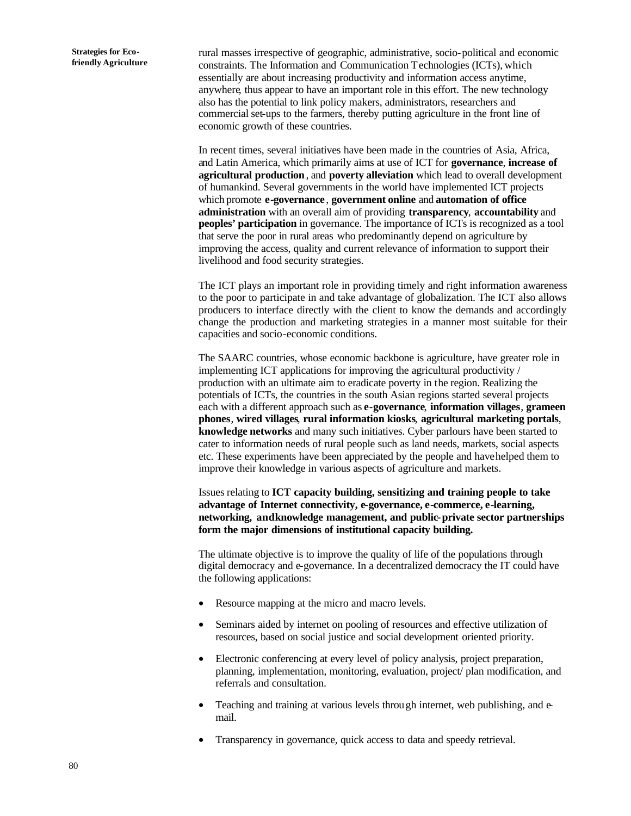rural masses irrespective of geographic, administrative, socio-political and economic constraints. The Information and Communication Technologies (ICTs), which essentially are about increasing productivity and information access anytime, anywhere, thus appear to have an important role in this effort. The new technology also has the potential to link policy makers, administrators, researchers and commercial set-ups to the farmers, thereby putting agriculture in the front line of economic growth of these countries.

In recent times, several initiatives have been made in the countries of Asia, Africa, and Latin America, which primarily aims at use of ICT for **governance**, **increase of agricultural production**, and **poverty alleviation** which lead to overall development of humankind. Several governments in the world have implemented ICT projects which promote **e-governance** , **government online** and **automation of office administration** with an overall aim of providing **transparency**, **accountability** and **peoples' participation** in governance. The importance of ICTs is recognized as a tool that serve the poor in rural areas who predominantly depend on agriculture by improving the access, quality and current relevance of information to support their livelihood and food security strategies.

The ICT plays an important role in providing timely and right information awareness to the poor to participate in and take advantage of globalization. The ICT also allows producers to interface directly with the client to know the demands and accordingly change the production and marketing strategies in a manner most suitable for their capacities and socio-economic conditions.

The SAARC countries, whose economic backbone is agriculture, have greater role in implementing ICT applications for improving the agricultural productivity / production with an ultimate aim to eradicate poverty in the region. Realizing the potentials of ICTs, the countries in the south Asian regions started several projects each with a different approach such as **e-governance**, **information villages**, **grameen phones**, **wired villages**, **rural information kiosks**, **agricultural marketing portals**, **knowledge networks** and many such initiatives. Cyber parlours have been started to cater to information needs of rural people such as land needs, markets, social aspects etc. These experiments have been appreciated by the people and have helped them to improve their knowledge in various aspects of agriculture and markets.

Issues relating to **ICT capacity building, sensitizing and training people to take advantage of Internet connectivity, e-governance, e-commerce, e-learning, networking, andknowledge management, and public-private sector partnerships form the major dimensions of institutional capacity building.**

The ultimate objective is to improve the quality of life of the populations through digital democracy and e-governance. In a decentralized democracy the IT could have the following applications:

- Resource mapping at the micro and macro levels.
- Seminars aided by internet on pooling of resources and effective utilization of resources, based on social justice and social development oriented priority.
- Electronic conferencing at every level of policy analysis, project preparation, planning, implementation, monitoring, evaluation, project/ plan modification, and referrals and consultation.
- Teaching and training at various levels through internet, web publishing, and email.
- Transparency in governance, quick access to data and speedy retrieval.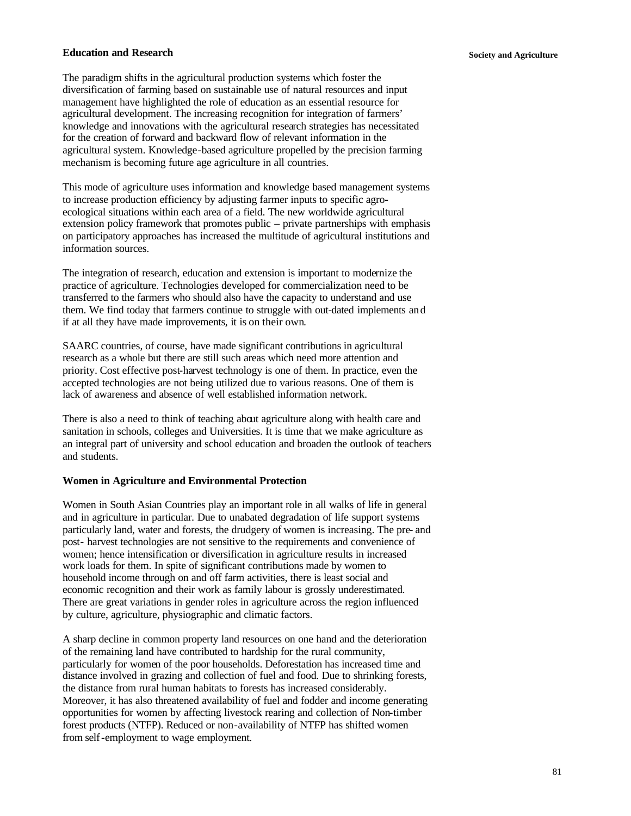### **Education and Research Society and Agriculture**

The paradigm shifts in the agricultural production systems which foster the diversification of farming based on sustainable use of natural resources and input management have highlighted the role of education as an essential resource for agricultural development. The increasing recognition for integration of farmers' knowledge and innovations with the agricultural research strategies has necessitated for the creation of forward and backward flow of relevant information in the agricultural system. Knowledge-based agriculture propelled by the precision farming mechanism is becoming future age agriculture in all countries.

This mode of agriculture uses information and knowledge based management systems to increase production efficiency by adjusting farmer inputs to specific agroecological situations within each area of a field. The new worldwide agricultural extension policy framework that promotes public – private partnerships with emphasis on participatory approaches has increased the multitude of agricultural institutions and information sources.

The integration of research, education and extension is important to modernize the practice of agriculture. Technologies developed for commercialization need to be transferred to the farmers who should also have the capacity to understand and use them. We find today that farmers continue to struggle with out-dated implements and if at all they have made improvements, it is on their own.

SAARC countries, of course, have made significant contributions in agricultural research as a whole but there are still such areas which need more attention and priority. Cost effective post-harvest technology is one of them. In practice, even the accepted technologies are not being utilized due to various reasons. One of them is lack of awareness and absence of well established information network.

There is also a need to think of teaching about agriculture along with health care and sanitation in schools, colleges and Universities. It is time that we make agriculture as an integral part of university and school education and broaden the outlook of teachers and students.

#### **Women in Agriculture and Environmental Protection**

Women in South Asian Countries play an important role in all walks of life in general and in agriculture in particular. Due to unabated degradation of life support systems particularly land, water and forests, the drudgery of women is increasing. The pre- and post- harvest technologies are not sensitive to the requirements and convenience of women; hence intensification or diversification in agriculture results in increased work loads for them. In spite of significant contributions made by women to household income through on and off farm activities, there is least social and economic recognition and their work as family labour is grossly underestimated. There are great variations in gender roles in agriculture across the region influenced by culture, agriculture, physiographic and climatic factors.

A sharp decline in common property land resources on one hand and the deterioration of the remaining land have contributed to hardship for the rural community, particularly for women of the poor households. Deforestation has increased time and distance involved in grazing and collection of fuel and food. Due to shrinking forests, the distance from rural human habitats to forests has increased considerably. Moreover, it has also threatened availability of fuel and fodder and income generating opportunities for women by affecting livestock rearing and collection of Non-timber forest products (NTFP). Reduced or non-availability of NTFP has shifted women from self-employment to wage employment.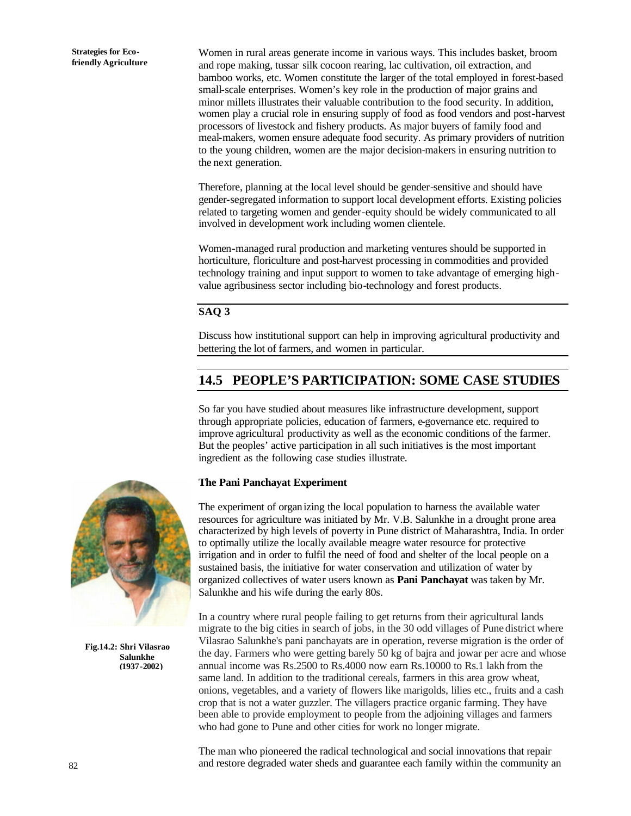**Strategies for Ecofriendly Agriculture** Women in rural areas generate income in various ways. This includes basket, broom and rope making, tussar silk cocoon rearing, lac cultivation, oil extraction, and bamboo works, etc. Women constitute the larger of the total employed in forest-based small-scale enterprises. Women's key role in the production of major grains and minor millets illustrates their valuable contribution to the food security. In addition, women play a crucial role in ensuring supply of food as food vendors and post-harvest processors of livestock and fishery products. As major buyers of family food and meal-makers, women ensure adequate food security. As primary providers of nutrition to the young children, women are the major decision-makers in ensuring nutrition to the next generation.

Therefore, planning at the local level should be gender-sensitive and should have gender-segregated information to support local development efforts. Existing policies related to targeting women and gender-equity should be widely communicated to all involved in development work including women clientele.

Women-managed rural production and marketing ventures should be supported in horticulture, floriculture and post-harvest processing in commodities and provided technology training and input support to women to take advantage of emerging highvalue agribusiness sector including bio-technology and forest products.

### **SAQ 3**

Discuss how institutional support can help in improving agricultural productivity and bettering the lot of farmers, and women in particular.

## **14.5 PEOPLE'S PARTICIPATION: SOME CASE STUDIES**

So far you have studied about measures like infrastructure development, support through appropriate policies, education of farmers, e-governance etc. required to improve agricultural productivity as well as the economic conditions of the farmer. But the peoples' active participation in all such initiatives is the most important ingredient as the following case studies illustrate.

### **The Pani Panchayat Experiment**

The experiment of organizing the local population to harness the available water resources for agriculture was initiated by Mr. V.B. Salunkhe in a drought prone area characterized by high levels of poverty in Pune district of Maharashtra, India. In order to optimally utilize the locally available meagre water resource for protective irrigation and in order to fulfil the need of food and shelter of the local people on a sustained basis, the initiative for water conservation and utilization of water by organized collectives of water users known as **Pani Panchayat** was taken by Mr. Salunkhe and his wife during the early 80s.

In a country where rural people failing to get returns from their agricultural lands migrate to the big cities in search of jobs, in the 30 odd villages of Pune district where Vilasrao Salunkhe's pani panchayats are in operation, reverse migration is the order of the day. Farmers who were getting barely 50 kg of bajra and jowar per acre and whose annual income was Rs.2500 to Rs.4000 now earn Rs.10000 to Rs.1 lakh from the same land. In addition to the traditional cereals, farmers in this area grow wheat, onions, vegetables, and a variety of flowers like marigolds, lilies etc., fruits and a cash crop that is not a water guzzler. The villagers practice organic farming. They have been able to provide employment to people from the adjoining villages and farmers who had gone to Pune and other cities for work no longer migrate.

The man who pioneered the radical technological and social innovations that repair and restore degraded water sheds and guarantee each family within the community an



**Fig.14.2: Shri Vilasrao Salunkhe (1937-2002)**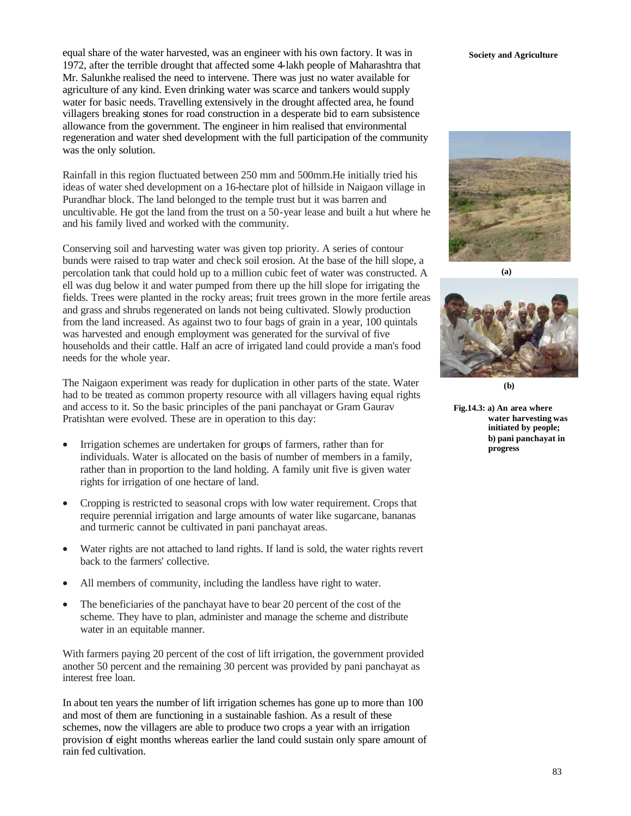equal share of the water harvested, was an engineer with his own factory. It was in **Society and Agriculture** 1972, after the terrible drought that affected some 4-lakh people of Maharashtra that Mr. Salunkhe realised the need to intervene. There was just no water available for agriculture of any kind. Even drinking water was scarce and tankers would supply water for basic needs. Travelling extensively in the drought affected area, he found villagers breaking stones for road construction in a desperate bid to earn subsistence allowance from the government. The engineer in him realised that environmental regeneration and water shed development with the full participation of the community was the only solution.

Rainfall in this region fluctuated between 250 mm and 500mm.He initially tried his ideas of water shed development on a 16-hectare plot of hillside in Naigaon village in Purandhar block. The land belonged to the temple trust but it was barren and uncultivable. He got the land from the trust on a 50-year lease and built a hut where he and his family lived and worked with the community.

Conserving soil and harvesting water was given top priority. A series of contour bunds were raised to trap water and check soil erosion. At the base of the hill slope, a percolation tank that could hold up to a million cubic feet of water was constructed. A ell was dug below it and water pumped from there up the hill slope for irrigating the fields. Trees were planted in the rocky areas; fruit trees grown in the more fertile areas and grass and shrubs regenerated on lands not being cultivated. Slowly production from the land increased. As against two to four bags of grain in a year, 100 quintals was harvested and enough employment was generated for the survival of five households and their cattle. Half an acre of irrigated land could provide a man's food needs for the whole year.

The Naigaon experiment was ready for duplication in other parts of the state. Water had to be treated as common property resource with all villagers having equal rights and access to it. So the basic principles of the pani panchayat or Gram Gaurav Pratishtan were evolved. These are in operation to this day:

- Irrigation schemes are undertaken for groups of farmers, rather than for individuals. Water is allocated on the basis of number of members in a family, rather than in proportion to the land holding. A family unit five is given water rights for irrigation of one hectare of land.
- Cropping is restricted to seasonal crops with low water requirement. Crops that require perennial irrigation and large amounts of water like sugarcane, bananas and turmeric cannot be cultivated in pani panchayat areas.
- Water rights are not attached to land rights. If land is sold, the water rights revert back to the farmers' collective.
- All members of community, including the landless have right to water.
- The beneficiaries of the panchayat have to bear 20 percent of the cost of the scheme. They have to plan, administer and manage the scheme and distribute water in an equitable manner.

With farmers paying 20 percent of the cost of lift irrigation, the government provided another 50 percent and the remaining 30 percent was provided by pani panchayat as interest free loan.

In about ten years the number of lift irrigation schemes has gone up to more than 100 and most of them are functioning in a sustainable fashion. As a result of these schemes, now the villagers are able to produce two crops a year with an irrigation provision of eight months whereas earlier the land could sustain only spare amount of rain fed cultivation.



**(a)**



**(b)**

**Fig.14.3: a) An area where water harvesting was initiated by people; b) pani panchayat in progress**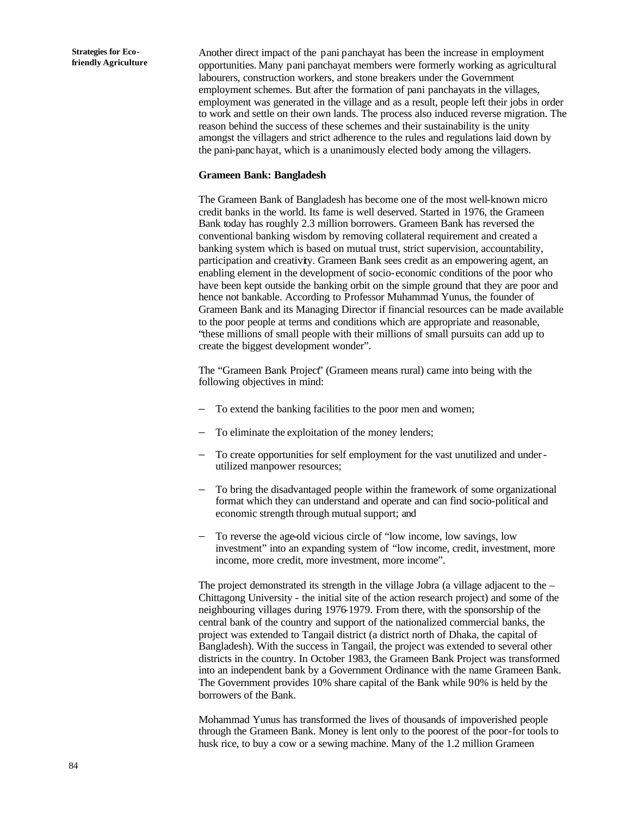Another direct impact of the pani panchayat has been the increase in employment opportunities. Many pani panchayat members were formerly working as agricultural labourers, construction workers, and stone breakers under the Government employment schemes. But after the formation of pani panchayats in the villages, employment was generated in the village and as a result, people left their jobs in order to work and settle on their own lands. The process also induced reverse migration. The reason behind the success of these schemes and their sustainability is the unity amongst the villagers and strict adherence to the rules and regulations laid down by the pani-panchayat, which is a unanimously elected body among the villagers.

### **Grameen Bank: Bangladesh**

The Grameen Bank of Bangladesh has become one of the most well-known micro credit banks in the world. Its fame is well deserved. Started in 1976, the Grameen Bank today has roughly 2.3 million borrowers. Grameen Bank has reversed the conventional banking wisdom by removing collateral requirement and created a banking system which is based on mutual trust, strict supervision, accountability, participation and creativity. Grameen Bank sees credit as an empowering agent, an enabling element in the development of socio-economic conditions of the poor who have been kept outside the banking orbit on the simple ground that they are poor and hence not bankable. According to Professor Muhammad Yunus, the founder of Grameen Bank and its Managing Director if financial resources can be made available to the poor people at terms and conditions which are appropriate and reasonable, "these millions of small people with their millions of small pursuits can add up to create the biggest development wonder".

The "Grameen Bank Project" (Grameen means rural) came into being with the following objectives in mind:

- To extend the banking facilities to the poor men and women;
- To eliminate the exploitation of the money lenders;
- To create opportunities for self employment for the vast unutilized and underutilized manpower resources;
- To bring the disadvantaged people within the framework of some organizational format which they can understand and operate and can find socio-political and economic strength through mutual support; and
- − To reverse the age-old vicious circle of "low income, low savings, low investment" into an expanding system of "low income, credit, investment, more income, more credit, more investment, more income".

The project demonstrated its strength in the village Jobra (a village adjacent to the – Chittagong University - the initial site of the action research project) and some of the neighbouring villages during 1976-1979. From there, with the sponsorship of the central bank of the country and support of the nationalized commercial banks, the project was extended to Tangail district (a district north of Dhaka, the capital of Bangladesh). With the success in Tangail, the project was extended to several other districts in the country. In October 1983, the Grameen Bank Project was transformed into an independent bank by a Government Ordinance with the name Grameen Bank. The Government provides 10% share capital of the Bank while 90% is held by the borrowers of the Bank.

Mohammad Yunus has transformed the lives of thousands of impoverished people through the Grameen Bank. Money is lent only to the poorest of the poor-for tools to husk rice, to buy a cow or a sewing machine. Many of the 1.2 million Grameen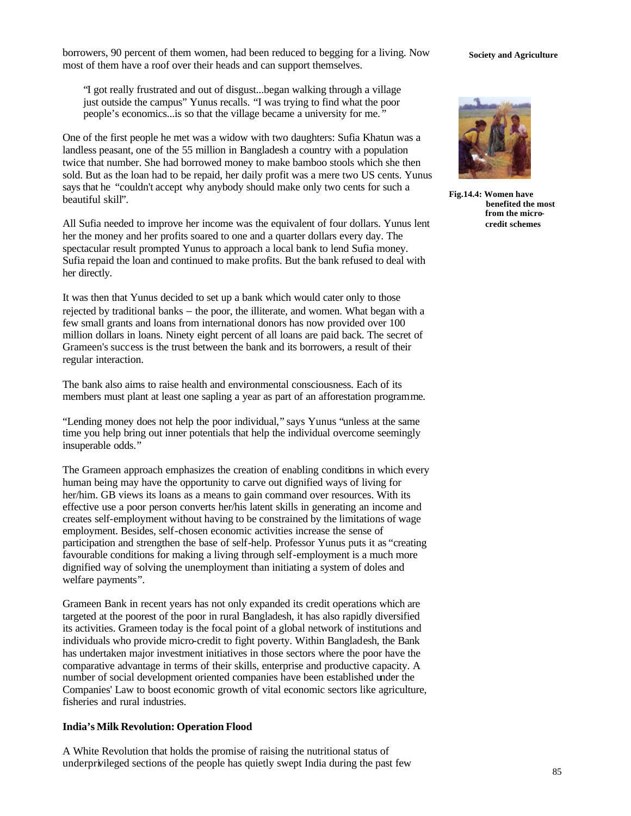borrowers, 90 percent of them women, had been reduced to begging for a living. Now **Society and Agriculture** most of them have a roof over their heads and can support themselves.

"I got really frustrated and out of disgust...began walking through a village just outside the campus" Yunus recalls. "I was trying to find what the poor people's economics...is so that the village became a university for me. "

One of the first people he met was a widow with two daughters: Sufia Khatun was a landless peasant, one of the 55 million in Bangladesh a country with a population twice that number. She had borrowed money to make bamboo stools which she then sold. But as the loan had to be repaid, her daily profit was a mere two US cents. Yunus says that he "couldn't accept why anybody should make only two cents for such a beautiful skill".

All Sufia needed to improve her income was the equivalent of four dollars. Yunus lent her the money and her profits soared to one and a quarter dollars every day. The spectacular result prompted Yunus to approach a local bank to lend Sufia money. Sufia repaid the loan and continued to make profits. But the bank refused to deal with her directly.

It was then that Yunus decided to set up a bank which would cater only to those rejected by traditional banks − the poor, the illiterate, and women. What began with a few small grants and loans from international donors has now provided over 100 million dollars in loans. Ninety eight percent of all loans are paid back. The secret of Grameen's success is the trust between the bank and its borrowers, a result of their regular interaction.

The bank also aims to raise health and environmental consciousness. Each of its members must plant at least one sapling a year as part of an afforestation programme.

"Lending money does not help the poor individual," says Yunus "unless at the same time you help bring out inner potentials that help the individual overcome seemingly insuperable odds."

The Grameen approach emphasizes the creation of enabling conditions in which every human being may have the opportunity to carve out dignified ways of living for her/him. GB views its loans as a means to gain command over resources. With its effective use a poor person converts her/his latent skills in generating an income and creates self-employment without having to be constrained by the limitations of wage employment. Besides, self-chosen economic activities increase the sense of participation and strengthen the base of self-help. Professor Yunus puts it as "creating favourable conditions for making a living through self-employment is a much more dignified way of solving the unemployment than initiating a system of doles and welfare payments".

Grameen Bank in recent years has not only expanded its credit operations which are targeted at the poorest of the poor in rural Bangladesh, it has also rapidly diversified its activities. Grameen today is the focal point of a global network of institutions and individuals who provide micro-credit to fight poverty. Within Bangladesh, the Bank has undertaken major investment initiatives in those sectors where the poor have the comparative advantage in terms of their skills, enterprise and productive capacity. A number of social development oriented companies have been established under the Companies' Law to boost economic growth of vital economic sectors like agriculture, fisheries and rural industries.

### **India's Milk Revolution: Operation Flood**

A White Revolution that holds the promise of raising the nutritional status of underprivileged sections of the people has quietly swept India during the past few



**Fig.14.4: Women have benefited the most from the microcredit schemes**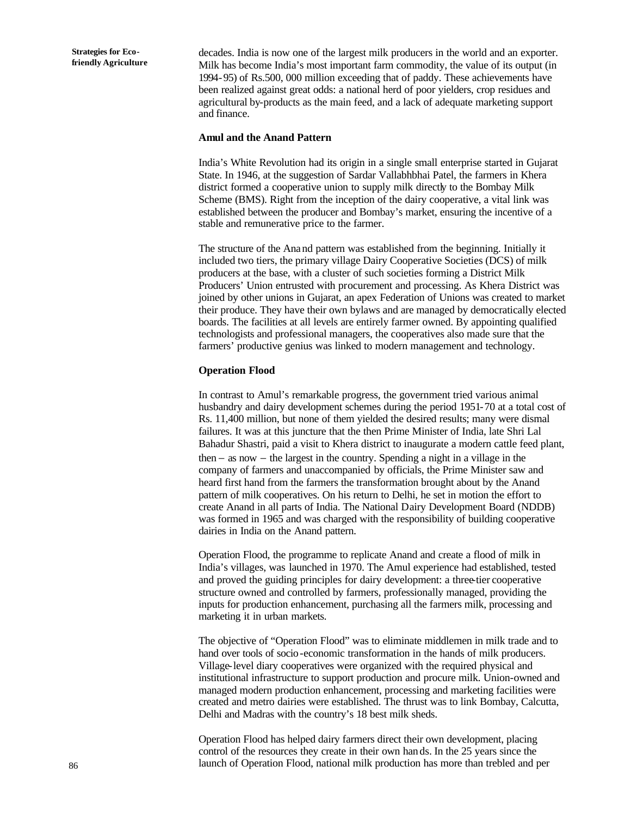decades. India is now one of the largest milk producers in the world and an exporter. Milk has become India's most important farm commodity, the value of its output (in 1994-95) of Rs.500, 000 million exceeding that of paddy. These achievements have been realized against great odds: a national herd of poor yielders, crop residues and agricultural by-products as the main feed, and a lack of adequate marketing support and finance.

#### **Amul and the Anand Pattern**

India's White Revolution had its origin in a single small enterprise started in Gujarat State. In 1946, at the suggestion of Sardar Vallabhbhai Patel, the farmers in Khera district formed a cooperative union to supply milk directly to the Bombay Milk Scheme (BMS). Right from the inception of the dairy cooperative, a vital link was established between the producer and Bombay's market, ensuring the incentive of a stable and remunerative price to the farmer.

The structure of the Anand pattern was established from the beginning. Initially it included two tiers, the primary village Dairy Cooperative Societies (DCS) of milk producers at the base, with a cluster of such societies forming a District Milk Producers' Union entrusted with procurement and processing. As Khera District was joined by other unions in Gujarat, an apex Federation of Unions was created to market their produce. They have their own bylaws and are managed by democratically elected boards. The facilities at all levels are entirely farmer owned. By appointing qualified technologists and professional managers, the cooperatives also made sure that the farmers' productive genius was linked to modern management and technology.

### **Operation Flood**

In contrast to Amul's remarkable progress, the government tried various animal husbandry and dairy development schemes during the period 1951-70 at a total cost of Rs. 11,400 million, but none of them yielded the desired results; many were dismal failures. It was at this juncture that the then Prime Minister of India, late Shri Lal Bahadur Shastri, paid a visit to Khera district to inaugurate a modern cattle feed plant, then − as now − the largest in the country. Spending a night in a village in the company of farmers and unaccompanied by officials, the Prime Minister saw and heard first hand from the farmers the transformation brought about by the Anand pattern of milk cooperatives. On his return to Delhi, he set in motion the effort to create Anand in all parts of India. The National Dairy Development Board (NDDB) was formed in 1965 and was charged with the responsibility of building cooperative dairies in India on the Anand pattern.

Operation Flood, the programme to replicate Anand and create a flood of milk in India's villages, was launched in 1970. The Amul experience had established, tested and proved the guiding principles for dairy development: a three-tier cooperative structure owned and controlled by farmers, professionally managed, providing the inputs for production enhancement, purchasing all the farmers milk, processing and marketing it in urban markets.

The objective of "Operation Flood" was to eliminate middlemen in milk trade and to hand over tools of socio-economic transformation in the hands of milk producers. Village-level diary cooperatives were organized with the required physical and institutional infrastructure to support production and procure milk. Union-owned and managed modern production enhancement, processing and marketing facilities were created and metro dairies were established. The thrust was to link Bombay, Calcutta, Delhi and Madras with the country's 18 best milk sheds.

Operation Flood has helped dairy farmers direct their own development, placing control of the resources they create in their own hands. In the 25 years since the launch of Operation Flood, national milk production has more than trebled and per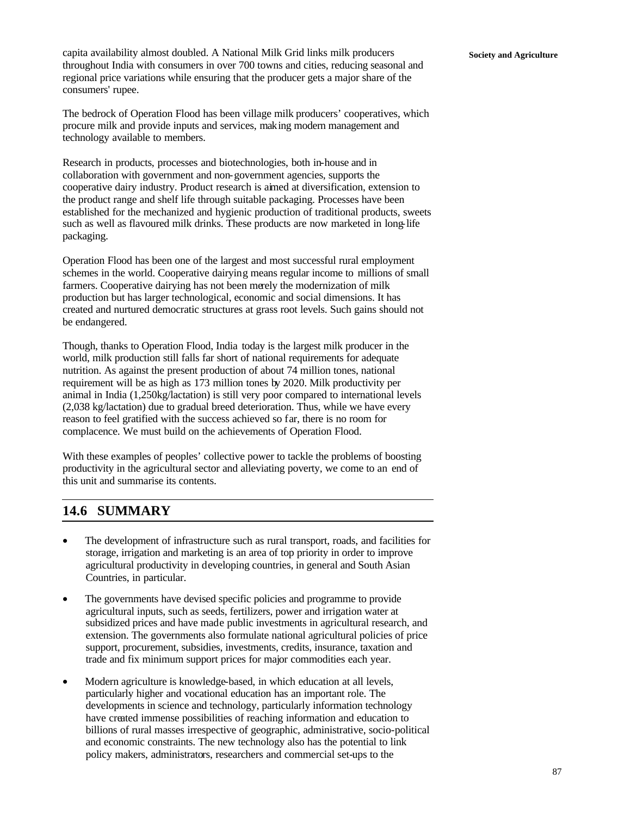capita availability almost doubled. A National Milk Grid links milk producers **Society and Agriculture** throughout India with consumers in over 700 towns and cities, reducing seasonal and regional price variations while ensuring that the producer gets a major share of the consumers' rupee.

The bedrock of Operation Flood has been village milk producers' cooperatives, which procure milk and provide inputs and services, making modern management and technology available to members.

Research in products, processes and biotechnologies, both in-house and in collaboration with government and non-government agencies, supports the cooperative dairy industry. Product research is aimed at diversification, extension to the product range and shelf life through suitable packaging. Processes have been established for the mechanized and hygienic production of traditional products, sweets such as well as flavoured milk drinks. These products are now marketed in long-life packaging.

Operation Flood has been one of the largest and most successful rural employment schemes in the world. Cooperative dairying means regular income to millions of small farmers. Cooperative dairying has not been merely the modernization of milk production but has larger technological, economic and social dimensions. It has created and nurtured democratic structures at grass root levels. Such gains should not be endangered.

Though, thanks to Operation Flood, India today is the largest milk producer in the world, milk production still falls far short of national requirements for adequate nutrition. As against the present production of about 74 million tones, national requirement will be as high as 173 million tones by 2020. Milk productivity per animal in India (1,250kg/lactation) is still very poor compared to international levels (2,038 kg/lactation) due to gradual breed deterioration. Thus, while we have every reason to feel gratified with the success achieved so far, there is no room for complacence. We must build on the achievements of Operation Flood.

With these examples of peoples' collective power to tackle the problems of boosting productivity in the agricultural sector and alleviating poverty, we come to an end of this unit and summarise its contents.

## **14.6 SUMMARY**

- The development of infrastructure such as rural transport, roads, and facilities for storage, irrigation and marketing is an area of top priority in order to improve agricultural productivity in developing countries, in general and South Asian Countries, in particular.
- The governments have devised specific policies and programme to provide agricultural inputs, such as seeds, fertilizers, power and irrigation water at subsidized prices and have made public investments in agricultural research, and extension. The governments also formulate national agricultural policies of price support, procurement, subsidies, investments, credits, insurance, taxation and trade and fix minimum support prices for major commodities each year.
- Modern agriculture is knowledge-based, in which education at all levels, particularly higher and vocational education has an important role. The developments in science and technology, particularly information technology have created immense possibilities of reaching information and education to billions of rural masses irrespective of geographic, administrative, socio-political and economic constraints. The new technology also has the potential to link policy makers, administrators, researchers and commercial set-ups to the